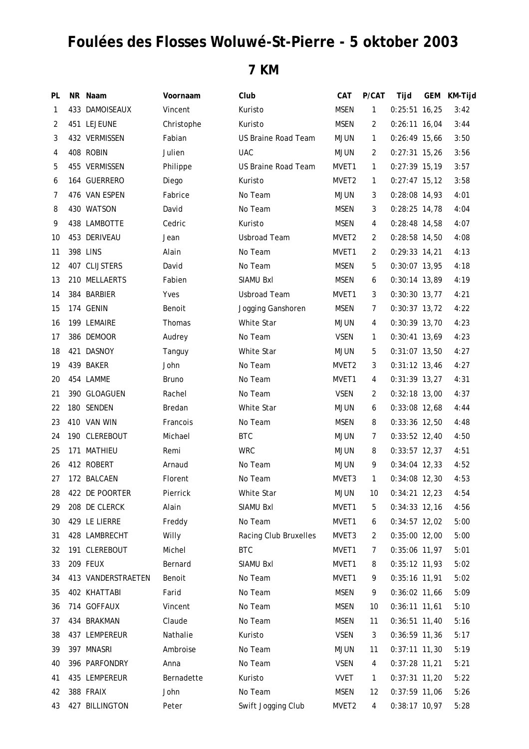## **Foulées des Flosses Woluwé-St-Pierre - 5 oktober 2003**

## **7 KM**

| PL           | NR Naam            | Voornaam     | Club                  | CAT               | P/CAT        | Tijd            | <b>GEM</b> | KM-Tijd |
|--------------|--------------------|--------------|-----------------------|-------------------|--------------|-----------------|------------|---------|
| $\mathbf{1}$ | 433 DAMOISEAUX     | Vincent      | Kuristo               | <b>MSEN</b>       | $\mathbf{1}$ | $0:25:51$ 16,25 |            | 3:42    |
| 2            | 451 LEJEUNE        | Christophe   | Kuristo               | <b>MSEN</b>       | 2            | $0:26:11$ 16,04 |            | 3:44    |
| 3            | 432 VERMISSEN      | Fabian       | US Braine Road Team   | <b>MJUN</b>       | $\mathbf{1}$ | $0:26:49$ 15,66 |            | 3:50    |
| 4            | 408 ROBIN          | Julien       | <b>UAC</b>            | <b>MJUN</b>       | 2            | $0:27:31$ 15,26 |            | 3:56    |
| 5            | 455 VERMISSEN      | Philippe     | US Braine Road Team   | MVET1             | $\mathbf{1}$ | $0:27:39$ 15,19 |            | 3:57    |
| 6            | 164 GUERRERO       | Diego        | Kuristo               | MVET <sub>2</sub> | $\mathbf{1}$ | $0:27:47$ 15,12 |            | 3:58    |
| 7            | 476 VAN ESPEN      | Fabrice      | No Team               | MJUN              | 3            | 0:28:08 14,93   |            | 4:01    |
| 8            | 430 WATSON         | David        | No Team               | <b>MSEN</b>       | 3            | $0:28:25$ 14,78 |            | 4:04    |
| 9            | 438 LAMBOTTE       | Cedric       | Kuristo               | <b>MSEN</b>       | 4            | $0:28:48$ 14,58 |            | 4:07    |
| 10           | 453 DERIVEAU       | Jean         | <b>Usbroad Team</b>   | MVET2             | 2            | 0:28:58 14,50   |            | 4:08    |
| 11           | 398 LINS           | Alain        | No Team               | MVET1             | 2            | $0:29:33$ 14,21 |            | 4:13    |
| 12           | 407 CLIJSTERS      | David        | No Team               | <b>MSEN</b>       | 5            | $0:30:07$ 13,95 |            | 4:18    |
| 13           | 210 MELLAERTS      | Fabien       | SIAMU BxI             | <b>MSEN</b>       | 6            | $0:30:14$ 13,89 |            | 4:19    |
| 14           | 384 BARBIER        | Yves         | <b>Usbroad Team</b>   | MVET1             | 3            | $0:30:30$ 13,77 |            | 4:21    |
| 15           | 174 GENIN          | Benoit       | Jogging Ganshoren     | <b>MSEN</b>       | 7            | $0:30:37$ 13,72 |            | 4:22    |
| 16           | 199 LEMAIRE        | Thomas       | White Star            | <b>MJUN</b>       | 4            | $0:30:39$ 13,70 |            | 4:23    |
| 17           | 386 DEMOOR         | Audrey       | No Team               | <b>VSEN</b>       | $\mathbf{1}$ | $0:30:41$ 13,69 |            | 4:23    |
| 18           | 421 DASNOY         | Tanguy       | White Star            | <b>MJUN</b>       | 5            | $0:31:07$ 13,50 |            | 4:27    |
| 19           | 439 BAKER          | John         | No Team               | MVET <sub>2</sub> | 3            | $0:31:12$ 13,46 |            | 4:27    |
| 20           | 454 LAMME          | <b>Bruno</b> | No Team               | MVET1             | 4            | $0:31:39$ 13,27 |            | 4:31    |
| 21           | 390 GLOAGUEN       | Rachel       | No Team               | <b>VSEN</b>       | 2            | $0:32:18$ 13,00 |            | 4:37    |
| 22           | 180 SENDEN         | Bredan       | White Star            | <b>MJUN</b>       | 6            | $0:33:08$ 12,68 |            | 4:44    |
| 23           | 410 VAN WIN        | Francois     | No Team               | MSEN              | 8            | $0:33:36$ 12,50 |            | 4:48    |
| 24           | 190 CLEREBOUT      | Michael      | <b>BTC</b>            | <b>MJUN</b>       | 7            | $0:33:52$ 12,40 |            | 4:50    |
| 25           | 171 MATHIEU        | Remi         | <b>WRC</b>            | <b>MJUN</b>       | 8            | $0:33:57$ 12,37 |            | 4:51    |
| 26           | 412 ROBERT         | Arnaud       | No Team               | <b>MJUN</b>       | 9            | $0:34:04$ 12,33 |            | 4:52    |
| 27           | 172 BALCAEN        | Florent      | No Team               | MVET3             | $\mathbf{1}$ | 0:34:08 12,30   |            | 4:53    |
| 28           | 422 DE POORTER     | Pierrick     | White Star            | <b>MJUN</b>       | 10           | $0:34:21$ 12,23 |            | 4:54    |
| 29           | 208 DE CLERCK      | Alain        | SIAMU BxI             | MVET1             | 5            | $0:34:33$ 12,16 |            | 4:56    |
| 30           | 429 LE LIERRE      | Freddy       | No Team               | MVET1             | 6            | $0:34:57$ 12,02 |            | 5:00    |
| 31           | 428 LAMBRECHT      | Willy        | Racing Club Bruxelles | MVET3             | 2            | $0:35:00$ 12,00 |            | 5:00    |
| 32           | 191 CLEREBOUT      | Michel       | <b>BTC</b>            | MVET1             | 7            | 0:35:06 11,97   |            | 5:01    |
| 33           | 209 FEUX           | Bernard      | SIAMU BxI             | MVET1             | 8            | $0:35:12$ 11,93 |            | 5:02    |
| 34           | 413 VANDERSTRAETEN | Benoit       | No Team               | MVET1             | 9            | $0:35:16$ 11,91 |            | 5:02    |
| 35           | 402 KHATTABI       | Farid        | No Team               | <b>MSEN</b>       | 9            | $0:36:02$ 11,66 |            | 5:09    |
| 36           | 714 GOFFAUX        | Vincent      | No Team               | <b>MSEN</b>       | 10           | $0:36:11$ 11,61 |            | 5:10    |
| 37           | 434 BRAKMAN        | Claude       | No Team               | <b>MSEN</b>       | 11           | $0:36:51$ 11,40 |            | 5:16    |
| 38           | 437 LEMPEREUR      | Nathalie     | Kuristo               | <b>VSEN</b>       | 3            | $0:36:59$ 11,36 |            | 5:17    |
| 39           | 397 MNASRI         | Ambroise     | No Team               | <b>MJUN</b>       | 11           | $0:37:11$ 11,30 |            | 5:19    |
| 40           | 396 PARFONDRY      | Anna         | No Team               | <b>VSEN</b>       | 4            | $0:37:28$ 11,21 |            | 5:21    |
| 41           | 435 LEMPEREUR      | Bernadette   | Kuristo               | <b>VVET</b>       | 1            | $0:37:31$ 11,20 |            | 5:22    |
| 42           | 388 FRAIX          | John         | No Team               | <b>MSEN</b>       | 12           | $0:37:59$ 11,06 |            | 5:26    |
| 43           | 427 BILLINGTON     | Peter        | Swift Jogging Club    | MVET2             | 4            | 0:38:17 10,97   |            | 5:28    |